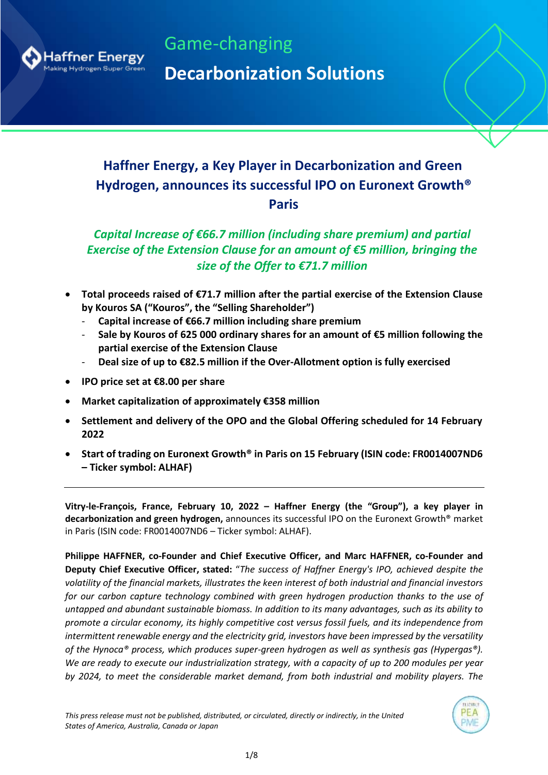

Game-changing **Decarbonization Solutions**

# **Haffner Energy, a Key Player in Decarbonization and Green Hydrogen, announces its successful IPO on Euronext Growth® Paris**

# *Capital Increase of €66.7 million (including share premium) and partial Exercise of the Extension Clause for an amount of €5 million, bringing the size of the Offer to €71.7 million*

- **Total proceeds raised of €71.7 million after the partial exercise of the Extension Clause by Kouros SA ("Kouros", the "Selling Shareholder")**
	- **Capital increase of €66.7 million including share premium**
	- **Sale by Kouros of 625 000 ordinary shares for an amount of €5 million following the partial exercise of the Extension Clause**
	- **Deal size of up to €82.5 million if the Over-Allotment option is fully exercised**
- **IPO price set at €8.00 per share**
- **Market capitalization of approximately €358 million**
- **Settlement and delivery of the OPO and the Global Offering scheduled for 14 February 2022**
- **Start of trading on Euronext Growth® in Paris on 15 February (ISIN code: FR0014007ND6 – Ticker symbol: ALHAF)**

**Vitry-le-François, France, February 10, 2022 – Haffner Energy (the "Group"), a key player in decarbonization and green hydrogen,** announces its successful IPO on the Euronext Growth® market in Paris (ISIN code: FR0014007ND6 – Ticker symbol: ALHAF).

**Philippe HAFFNER, co-Founder and Chief Executive Officer, and Marc HAFFNER, co-Founder and Deputy Chief Executive Officer, stated:** "*The success of Haffner Energy's IPO, achieved despite the volatility of the financial markets, illustrates the keen interest of both industrial and financial investors for our carbon capture technology combined with green hydrogen production thanks to the use of untapped and abundant sustainable biomass. In addition to its many advantages, such as its ability to promote a circular economy, its highly competitive cost versus fossil fuels, and its independence from intermittent renewable energy and the electricity grid, investors have been impressed by the versatility of the Hynoca® process, which produces super-green hydrogen as well as synthesis gas (Hypergas®). We are ready to execute our industrialization strategy, with a capacity of up to 200 modules per year by 2024, to meet the considerable market demand, from both industrial and mobility players. The* 

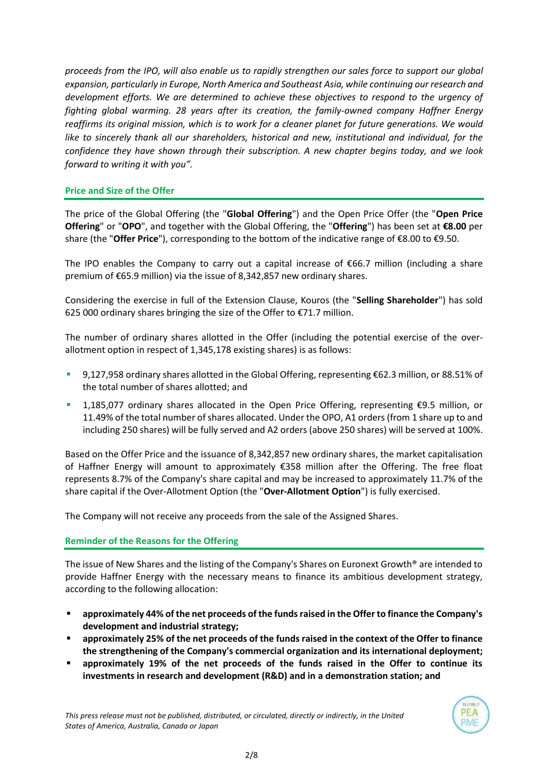*proceeds from the IPO, will also enable us to rapidly strengthen our sales force to support our global expansion, particularly in Europe, North America and Southeast Asia, while continuing our research and development efforts. We are determined to achieve these objectives to respond to the urgency of fighting global warming. 28 years after its creation, the family-owned company Haffner Energy reaffirms its original mission, which is to work for a cleaner planet for future generations. We would like to sincerely thank all our shareholders, historical and new, institutional and individual, for the confidence they have shown through their subscription. A new chapter begins today, and we look forward to writing it with you".*

# **Price and Size of the Offer**

The price of the Global Offering (the "**Global Offering**") and the Open Price Offer (the "**Open Price Offering**" or "**OPO**", and together with the Global Offering, the "**Offering**") has been set at **€8.00** per share (the "**Offer Price**"), corresponding to the bottom of the indicative range of €8.00 to €9.50.

The IPO enables the Company to carry out a capital increase of  $\epsilon$ 66.7 million (including a share premium of €65.9 million) via the issue of 8,342,857 new ordinary shares.

Considering the exercise in full of the Extension Clause, Kouros (the "**Selling Shareholder**") has sold 625 000 ordinary shares bringing the size of the Offer to €71.7 million.

The number of ordinary shares allotted in the Offer (including the potential exercise of the overallotment option in respect of 1,345,178 existing shares) is as follows:

- 9,127,958 ordinary shares allotted in the Global Offering, representing €62.3 million, or 88.51% of the total number of shares allotted; and
- 1,185,077 ordinary shares allocated in the Open Price Offering, representing €9.5 million, or 11.49% of the total number of shares allocated. Under the OPO, A1 orders (from 1 share up to and including 250 shares) will be fully served and A2 orders (above 250 shares) will be served at 100%.

Based on the Offer Price and the issuance of 8,342,857 new ordinary shares, the market capitalisation of Haffner Energy will amount to approximately €358 million after the Offering. The free float represents 8.7% of the Company's share capital and may be increased to approximately 11.7% of the share capital if the Over-Allotment Option (the "**Over-Allotment Option**") is fully exercised.

The Company will not receive any proceeds from the sale of the Assigned Shares.

## **Reminder of the Reasons for the Offering**

The issue of New Shares and the listing of the Company's Shares on Euronext Growth® are intended to provide Haffner Energy with the necessary means to finance its ambitious development strategy, according to the following allocation:

- **approximately 44% of the net proceeds of the funds raised in the Offer to finance the Company's development and industrial strategy;**
- approximately 25% of the net proceeds of the funds raised in the context of the Offer to finance **the strengthening of the Company's commercial organization and its international deployment;**
- approximately 19% of the net proceeds of the funds raised in the Offer to continue its **investments in research and development (R&D) and in a demonstration station; and**

*This press release must not be published, distributed, or circulated, directly or indirectly, in the United States of America, Australia, Canada or Japan*

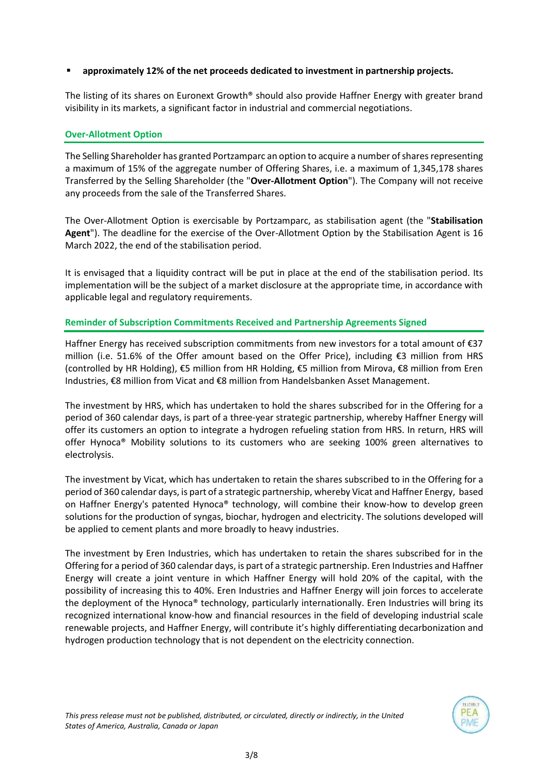# ▪ **approximately 12% of the net proceeds dedicated to investment in partnership projects.**

The listing of its shares on Euronext Growth® should also provide Haffner Energy with greater brand visibility in its markets, a significant factor in industrial and commercial negotiations.

# **Over-Allotment Option**

The Selling Shareholder has granted Portzamparc an option to acquire a number of shares representing a maximum of 15% of the aggregate number of Offering Shares, i.e. a maximum of 1,345,178 shares Transferred by the Selling Shareholder (the "**Over-Allotment Option**"). The Company will not receive any proceeds from the sale of the Transferred Shares.

The Over-Allotment Option is exercisable by Portzamparc, as stabilisation agent (the "**Stabilisation Agent**"). The deadline for the exercise of the Over-Allotment Option by the Stabilisation Agent is 16 March 2022, the end of the stabilisation period.

It is envisaged that a liquidity contract will be put in place at the end of the stabilisation period. Its implementation will be the subject of a market disclosure at the appropriate time, in accordance with applicable legal and regulatory requirements.

# **Reminder of Subscription Commitments Received and Partnership Agreements Signed**

Haffner Energy has received subscription commitments from new investors for a total amount of €37 million (i.e. 51.6% of the Offer amount based on the Offer Price), including  $€3$  million from HRS (controlled by HR Holding), €5 million from HR Holding, €5 million from Mirova, €8 million from Eren Industries, €8 million from Vicat and €8 million from Handelsbanken Asset Management.

The investment by HRS, which has undertaken to hold the shares subscribed for in the Offering for a period of 360 calendar days, is part of a three-year strategic partnership, whereby Haffner Energy will offer its customers an option to integrate a hydrogen refueling station from HRS. In return, HRS will offer Hynoca® Mobility solutions to its customers who are seeking 100% green alternatives to electrolysis.

The investment by Vicat, which has undertaken to retain the shares subscribed to in the Offering for a period of 360 calendar days, is part of a strategic partnership, whereby Vicat and Haffner Energy, based on Haffner Energy's patented Hynoca® technology, will combine their know-how to develop green solutions for the production of syngas, biochar, hydrogen and electricity. The solutions developed will be applied to cement plants and more broadly to heavy industries.

The investment by Eren Industries, which has undertaken to retain the shares subscribed for in the Offering for a period of 360 calendar days, is part of a strategic partnership. Eren Industries and Haffner Energy will create a joint venture in which Haffner Energy will hold 20% of the capital, with the possibility of increasing this to 40%. Eren Industries and Haffner Energy will join forces to accelerate the deployment of the Hynoca® technology, particularly internationally. Eren Industries will bring its recognized international know-how and financial resources in the field of developing industrial scale renewable projects, and Haffner Energy, will contribute it's highly differentiating decarbonization and hydrogen production technology that is not dependent on the electricity connection.

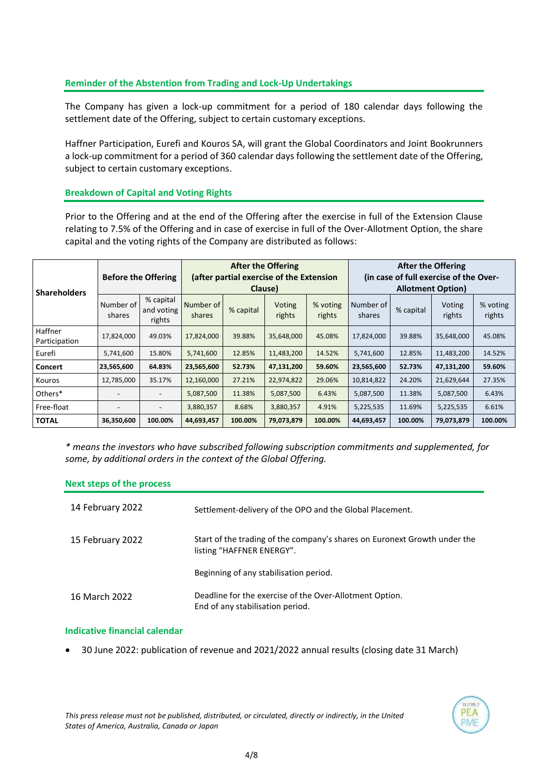# **Reminder of the Abstention from Trading and Lock-Up Undertakings**

The Company has given a lock-up commitment for a period of 180 calendar days following the settlement date of the Offering, subject to certain customary exceptions.

Haffner Participation, Eurefi and Kouros SA, will grant the Global Coordinators and Joint Bookrunners a lock-up commitment for a period of 360 calendar days following the settlement date of the Offering, subject to certain customary exceptions.

# **Breakdown of Capital and Voting Rights**

Prior to the Offering and at the end of the Offering after the exercise in full of the Extension Clause relating to 7.5% of the Offering and in case of exercise in full of the Over-Allotment Option, the share capital and the voting rights of the Company are distributed as follows:

| <b>Shareholders</b>      | <b>Before the Offering</b> |                                   | <b>After the Offering</b><br>(after partial exercise of the Extension<br>Clause) |           |                  |                    | <b>After the Offering</b><br>(in case of full exercise of the Over-<br><b>Allotment Option)</b> |           |                  |                    |
|--------------------------|----------------------------|-----------------------------------|----------------------------------------------------------------------------------|-----------|------------------|--------------------|-------------------------------------------------------------------------------------------------|-----------|------------------|--------------------|
|                          | Number of<br>shares        | % capital<br>and voting<br>rights | Number of<br>shares                                                              | % capital | Voting<br>rights | % voting<br>rights | Number of<br>shares                                                                             | % capital | Voting<br>rights | % voting<br>rights |
| Haffner<br>Participation | 17,824,000                 | 49.03%                            | 17,824,000                                                                       | 39.88%    | 35,648,000       | 45.08%             | 17,824,000                                                                                      | 39.88%    | 35,648,000       | 45.08%             |
| Eurefi                   | 5,741,600                  | 15.80%                            | 5,741,600                                                                        | 12.85%    | 11,483,200       | 14.52%             | 5,741,600                                                                                       | 12.85%    | 11,483,200       | 14.52%             |
| <b>Concert</b>           | 23,565,600                 | 64.83%                            | 23,565,600                                                                       | 52.73%    | 47,131,200       | 59.60%             | 23,565,600                                                                                      | 52.73%    | 47,131,200       | 59.60%             |
| Kouros                   | 12,785,000                 | 35.17%                            | 12,160,000                                                                       | 27.21%    | 22,974,822       | 29.06%             | 10,814,822                                                                                      | 24.20%    | 21,629,644       | 27.35%             |
| Others*                  |                            |                                   | 5,087,500                                                                        | 11.38%    | 5,087,500        | 6.43%              | 5,087,500                                                                                       | 11.38%    | 5,087,500        | 6.43%              |
| Free-float               | $\overline{\phantom{0}}$   | -                                 | 3,880,357                                                                        | 8.68%     | 3,880,357        | 4.91%              | 5,225,535                                                                                       | 11.69%    | 5,225,535        | 6.61%              |
| <b>TOTAL</b>             | 36,350,600                 | 100.00%                           | 44,693,457                                                                       | 100.00%   | 79,073,879       | 100.00%            | 44,693,457                                                                                      | 100.00%   | 79,073,879       | 100.00%            |

*\* means the investors who have subscribed following subscription commitments and supplemented, for some, by additional orders in the context of the Global Offering.*

| <b>Next steps of the process</b> |                                                                                                        |
|----------------------------------|--------------------------------------------------------------------------------------------------------|
| 14 February 2022                 | Settlement-delivery of the OPO and the Global Placement.                                               |
| 15 February 2022                 | Start of the trading of the company's shares on Euronext Growth under the<br>listing "HAFFNER ENERGY". |
|                                  | Beginning of any stabilisation period.                                                                 |
| 16 March 2022                    | Deadline for the exercise of the Over-Allotment Option.<br>End of any stabilisation period.            |

#### **Indicative financial calendar**

• 30 June 2022: publication of revenue and 2021/2022 annual results (closing date 31 March)

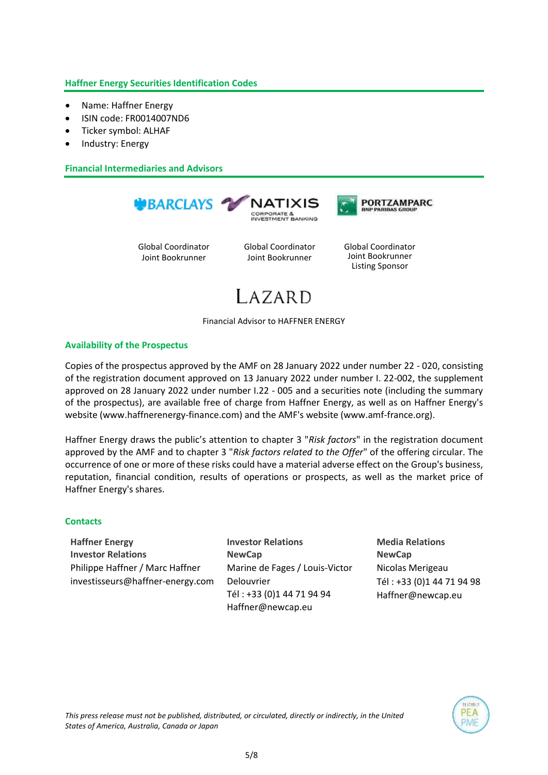# **Haffner Energy Securities Identification Codes**

- Name: Haffner Energy
- ISIN code: FR0014007ND6
- Ticker symbol: ALHAF
- Industry: Energy

**Financial Intermediaries and Advisors**



Global Coordinator Joint Bookrunner

Global Coordinator Joint Bookrunner

Global Coordinator Joint Bookrunner Listing Sponsor

PORTZAMPARC

# $LAZARD$

Financial Advisor to HAFFNER ENERGY

# **Availability of the Prospectus**

Copies of the prospectus approved by the AMF on 28 January 2022 under number 22 - 020, consisting of the registration document approved on 13 January 2022 under number I. 22-002, the supplement approved on 28 January 2022 under number I.22 - 005 and a securities note (including the summary of the prospectus), are available free of charge from Haffner Energy, as well as on Haffner Energy's website (www.haffnerenergy-finance.com) and the AMF's website (www.amf-france.org).

Haffner Energy draws the public's attention to chapter 3 "*Risk factors*" in the registration document approved by the AMF and to chapter 3 "*Risk factors related to the Offer*" of the offering circular. The occurrence of one or more of these risks could have a material adverse effect on the Group's business, reputation, financial condition, results of operations or prospects, as well as the market price of Haffner Energy's shares.

## **Contacts**

**Haffner Energy Investor Relations** Philippe Haffner / Marc Haffner [investisseurs@haffner-energy.com](mailto:investisseurs@haffner-energy.com) **Investor Relations NewCap** Marine de Fages / Louis-Victor Delouvrier Tél : +33 (0)1 44 71 94 94 [Haffner@newcap.eu](mailto:Haffner@newcap.eu)

**Media Relations NewCap** Nicolas Merigeau Tél : +33 (0)1 44 71 94 98 [Haffner@newcap.eu](mailto:Haffner@newcap.eu)

> PEA PMF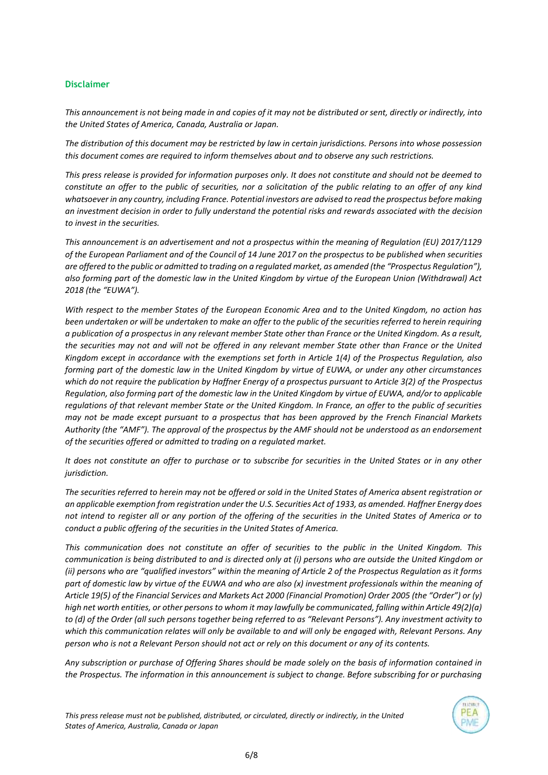#### **Disclaimer**

*This announcement is not being made in and copies of it may not be distributed or sent, directly or indirectly, into the United States of America, Canada, Australia or Japan.*

*The distribution of this document may be restricted by law in certain jurisdictions. Persons into whose possession this document comes are required to inform themselves about and to observe any such restrictions.*

*This press release is provided for information purposes only. It does not constitute and should not be deemed to constitute an offer to the public of securities, nor a solicitation of the public relating to an offer of any kind whatsoever in any country, including France. Potential investors are advised to read the prospectus before making an investment decision in order to fully understand the potential risks and rewards associated with the decision to invest in the securities.*

*This announcement is an advertisement and not a prospectus within the meaning of Regulation (EU) 2017/1129 of the European Parliament and of the Council of 14 June 2017 on the prospectus to be published when securities are offered to the public or admitted to trading on a regulated market, as amended (the "Prospectus Regulation"), also forming part of the domestic law in the United Kingdom by virtue of the European Union (Withdrawal) Act 2018 (the "EUWA").*

*With respect to the member States of the European Economic Area and to the United Kingdom, no action has been undertaken or will be undertaken to make an offer to the public of the securities referred to herein requiring a publication of a prospectus in any relevant member State other than France or the United Kingdom. As a result, the securities may not and will not be offered in any relevant member State other than France or the United Kingdom except in accordance with the exemptions set forth in Article 1(4) of the Prospectus Regulation, also forming part of the domestic law in the United Kingdom by virtue of EUWA, or under any other circumstances which do not require the publication by Haffner Energy of a prospectus pursuant to Article 3(2) of the Prospectus Regulation, also forming part of the domestic law in the United Kingdom by virtue of EUWA, and/or to applicable regulations of that relevant member State or the United Kingdom. In France, an offer to the public of securities may not be made except pursuant to a prospectus that has been approved by the French Financial Markets Authority (the "AMF"). The approval of the prospectus by the AMF should not be understood as an endorsement of the securities offered or admitted to trading on a regulated market.*

*It does not constitute an offer to purchase or to subscribe for securities in the United States or in any other jurisdiction.*

*The securities referred to herein may not be offered or sold in the United States of America absent registration or an applicable exemption from registration under the U.S. Securities Act of 1933, as amended. Haffner Energy does not intend to register all or any portion of the offering of the securities in the United States of America or to conduct a public offering of the securities in the United States of America.* 

*This communication does not constitute an offer of securities to the public in the United Kingdom. This communication is being distributed to and is directed only at (i) persons who are outside the United Kingdom or (ii) persons who are "qualified investors" within the meaning of Article 2 of the Prospectus Regulation as it forms part of domestic law by virtue of the EUWA and who are also (x) investment professionals within the meaning of Article 19(5) of the Financial Services and Markets Act 2000 (Financial Promotion) Order 2005 (the "Order") or (y) high net worth entities, or other persons to whom it may lawfully be communicated, falling within Article 49(2)(a) to (d) of the Order (all such persons together being referred to as "Relevant Persons"). Any investment activity to which this communication relates will only be available to and will only be engaged with, Relevant Persons. Any person who is not a Relevant Person should not act or rely on this document or any of its contents.*

*Any subscription or purchase of Offering Shares should be made solely on the basis of information contained in the Prospectus. The information in this announcement is subject to change. Before subscribing for or purchasing* 

*This press release must not be published, distributed, or circulated, directly or indirectly, in the United States of America, Australia, Canada or Japan*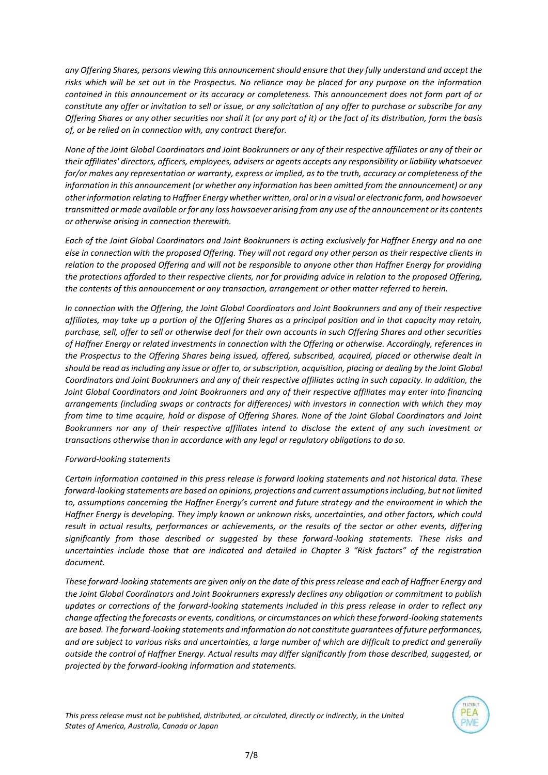*any Offering Shares, persons viewing this announcement should ensure that they fully understand and accept the risks which will be set out in the Prospectus. No reliance may be placed for any purpose on the information contained in this announcement or its accuracy or completeness. This announcement does not form part of or constitute any offer or invitation to sell or issue, or any solicitation of any offer to purchase or subscribe for any Offering Shares or any other securities nor shall it (or any part of it) or the fact of its distribution, form the basis of, or be relied on in connection with, any contract therefor.*

*None of the Joint Global Coordinators and Joint Bookrunners or any of their respective affiliates or any of their or their affiliates' directors, officers, employees, advisers or agents accepts any responsibility or liability whatsoever for/or makes any representation or warranty, express or implied, as to the truth, accuracy or completeness of the information in this announcement (or whether any information has been omitted from the announcement) or any other information relating to Haffner Energy whether written, oral or in a visual or electronic form, and howsoever transmitted or made available or for any loss howsoever arising from any use of the announcement or its contents or otherwise arising in connection therewith.*

*Each of the Joint Global Coordinators and Joint Bookrunners is acting exclusively for Haffner Energy and no one else in connection with the proposed Offering. They will not regard any other person as their respective clients in relation to the proposed Offering and will not be responsible to anyone other than Haffner Energy for providing the protections afforded to their respective clients, nor for providing advice in relation to the proposed Offering, the contents of this announcement or any transaction, arrangement or other matter referred to herein.*

*In connection with the Offering, the Joint Global Coordinators and Joint Bookrunners and any of their respective affiliates, may take up a portion of the Offering Shares as a principal position and in that capacity may retain, purchase, sell, offer to sell or otherwise deal for their own accounts in such Offering Shares and other securities of Haffner Energy or related investments in connection with the Offering or otherwise. Accordingly, references in the Prospectus to the Offering Shares being issued, offered, subscribed, acquired, placed or otherwise dealt in should be read as including any issue or offer to, or subscription, acquisition, placing or dealing by the Joint Global Coordinators and Joint Bookrunners and any of their respective affiliates acting in such capacity. In addition, the Joint Global Coordinators and Joint Bookrunners and any of their respective affiliates may enter into financing arrangements (including swaps or contracts for differences) with investors in connection with which they may from time to time acquire, hold or dispose of Offering Shares. None of the Joint Global Coordinators and Joint Bookrunners nor any of their respective affiliates intend to disclose the extent of any such investment or transactions otherwise than in accordance with any legal or regulatory obligations to do so.*

#### *Forward-looking statements*

*Certain information contained in this press release is forward looking statements and not historical data. These forward-looking statements are based on opinions, projections and current assumptions including, but not limited to, assumptions concerning the Haffner Energy's current and future strategy and the environment in which the Haffner Energy is developing. They imply known or unknown risks, uncertainties, and other factors, which could result in actual results, performances or achievements, or the results of the sector or other events, differing significantly from those described or suggested by these forward-looking statements. These risks and uncertainties include those that are indicated and detailed in Chapter 3 "Risk factors" of the registration document.* 

*These forward-looking statements are given only on the date of this press release and each of Haffner Energy and the Joint Global Coordinators and Joint Bookrunners expressly declines any obligation or commitment to publish updates or corrections of the forward-looking statements included in this press release in order to reflect any change affecting the forecasts or events, conditions, or circumstances on which these forward-looking statements are based. The forward-looking statements and information do not constitute guarantees of future performances, and are subject to various risks and uncertainties, a large number of which are difficult to predict and generally outside the control of Haffner Energy. Actual results may differ significantly from those described, suggested, or projected by the forward-looking information and statements.*

*This press release must not be published, distributed, or circulated, directly or indirectly, in the United States of America, Australia, Canada or Japan*